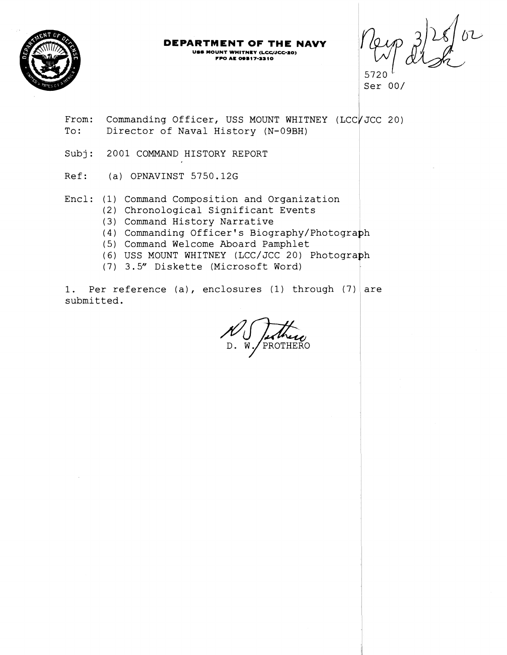

## **DEPARTMENT OF THE NAVY**

**USS MOUNT WHITNEY (LCC/JCC-20) FPO AE 09317-3310** 

5720 $^{\circ}$ Ser 00/

From: Commanding Officer, USS MOUNT WHITNEY (LCC / JCC 20) To: Director of Naval History (N-09BH)

Subj: 2001 COMMAND HISTORY REPORT

Ref: (a) OPNAVINST 5750.12G

Encl: (1) Command Composition and Organization <sup>1</sup>

- (2) Chronological Significant Events
- (3) Command History Narrative
- (4) Commanding Officer's Biography/Photogra
- (5) Command Welcome Aboard Pamphlet
- (6) USS MOUNT WHITNEY (LCC/JCC 20) Photogra
- (7) 3.5" Diskette (Microsoft Word)

1. Per reference (a), enclosures (1) through (7) are submitted.

PROTHERO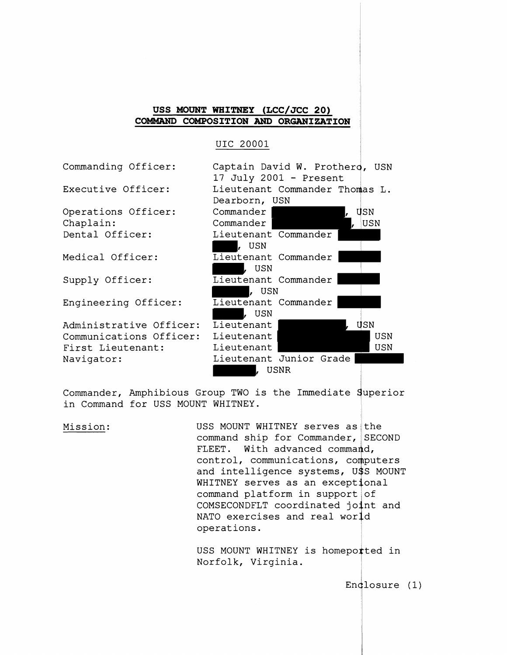## **USS MOUNT WEITNEY (LCC/JCC 20) COMMAND COMPOSITION AND ORGANIZATION**

#### UIC 20001

Commanding Officer:

Executive Officer:

Operations Officer: Chaplain : Dental Officer:

Medical Officer:

Supply Officer:

Engineering Officer:

Administrative Officer: Communications Officer: First Lieutenant: Navigator:

| Captain David W. Prothero, USN |     |
|--------------------------------|-----|
| 17 July 2001 - Present         |     |
| Lieutenant Commander Thomas L. |     |
| Dearborn, USN                  |     |
| Commander I                    | USN |
| Commander                      | USN |
| Lieutenant Commander           |     |
| L USN                          |     |
| Lieutenant Commander           |     |
| , USN                          |     |
| Lieutenant Commander           |     |
| , USN                          |     |
| Lieutenant Commander           |     |
| , USN                          |     |
| Lieutenant                     | USN |
| Lieutenant                     | USN |
| Lieutenant                     | USN |
| Lieutenant Junior Grade        |     |
| , USNR                         |     |

Commander, Amphibious Group TWO is the Immediate guperior in Command for USS MOUNT WHITNEY.

Mission: USS MOUNT WHITNEY serves as the command ship for Commander, SECOND FLEET. With advanced command, control, communications, computers and intelligence systems, U\$S MOUNT WHITNEY serves as an exceptional command platform in support COMSECONDFLT coordinated jo NATO exercises and real world operations.

> USS MOUNT WHITNEY is homeported in Norfolk, Virginia.

> > $Endlosure (1)$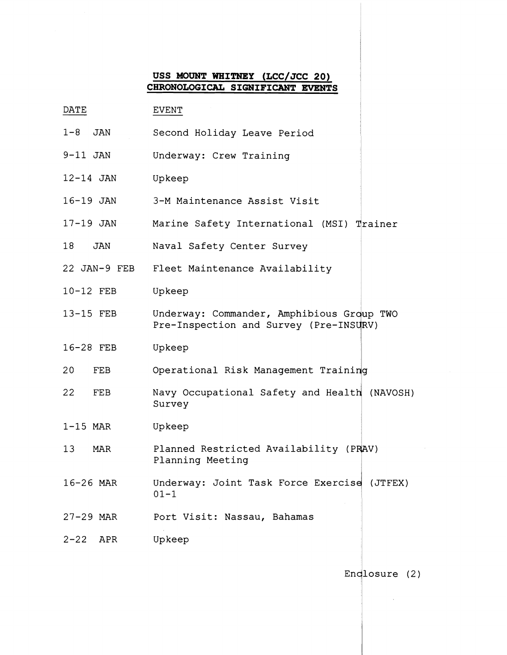# **USS MOUNT WHITNEY (LCC/JCC 20) CHRONOLOGICAL SIGNIFICANT EVENTS**

| DATE                   | <b>EVENT</b>                                                                        |
|------------------------|-------------------------------------------------------------------------------------|
| $1 - 8$<br>JAN         | Second Holiday Leave Period                                                         |
| $9-11$ JAN             | Underway: Crew Training                                                             |
| $12-14$ JAN            | Upkeep                                                                              |
| 16-19 JAN              | 3-M Maintenance Assist Visit                                                        |
| 17-19 JAN              | Marine Safety International (MSI) Trainer                                           |
| 18<br>JAN              | Naval Safety Center Survey                                                          |
|                        | 22 JAN-9 FEB Fleet Maintenance Availability                                         |
| 10-12 FEB              | Upkeep                                                                              |
| 13-15 FEB              | Underway: Commander, Amphibious Group TWO<br>Pre-Inspection and Survey (Pre-INSURV) |
| 16-28 FEB              | Upkeep                                                                              |
| 20<br>FEB              | Operational Risk Management Training                                                |
| 22<br>FEB              | Navy Occupational Safety and Health (NAVOSH)<br>Survey                              |
| $1-15$ MAR             | Upkeep                                                                              |
| 13 <sup>°</sup><br>MAR | Planned Restricted Availability (PRAV)<br>Planning Meeting                          |
| 16-26 MAR              | Underway: Joint Task Force Exercise (JTFEX)<br>$01 - 1$                             |
| $27 - 29$ MAR          | Port Visit: Nassau, Bahamas                                                         |
| $2 - 22$<br>APR        | Upkeep                                                                              |

Endlosure (2)

 $\mathcal{L}^{\text{max}}_{\text{max}}$  , where  $\mathcal{L}^{\text{max}}_{\text{max}}$ 

 $\sim 10^{-1}$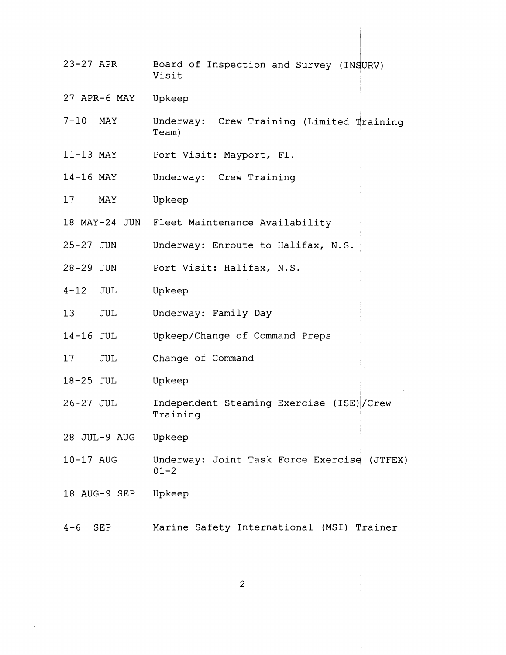23-27 APR Board of Inspection and Survey (INSURV) Visit 27 APR-6 MAY Upkeep 7-10 MAY Underway: Crew Training (Limited Training Team) 4 11-13 MAY Port Visit: Mayport, Fl. 14-16 MAY Underway: Crew Training 17 MAY Upkeep 18 MAY-24 JUN Fleet Maintenance Availability 25-27 JUN Underway: Enroute to Halifax, N.S. 28-29 JUN Port Visit: Halifax, N.S. 4-12 JUL Upkeep 13 JUL Underway: Family Day <sup>1</sup> 14-16 JUL Upkeep/Change of Command Preps 17 JUL Change of Command 18-25 JUL Up keep 28 JUL-9 AUG Upkeep 26-27 JUL Independent Steaming Exercise (ISE)l/Crew Training 10-17 AUG Underway: Joint Task Force Exercise (JTFEX)  $01 - 2$ 18 AUG-9 SEP Upkeep 4-6 SEP Marine Safety International (MSI) Trainer

 $\overline{2}$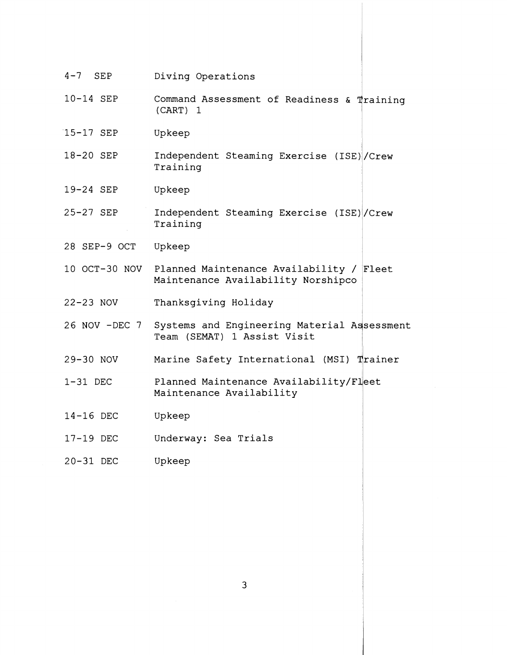| $4-7$ SEP     | Diving Operations                                                                            |
|---------------|----------------------------------------------------------------------------------------------|
| 10-14 SEP     | Command Assessment of Readiness & Training<br>(CART) 1                                       |
| 15-17 SEP     | Upkeep                                                                                       |
| 18-20 SEP     | Independent Steaming Exercise (ISE) / Crew<br>Training                                       |
| 19-24 SEP     | Upkeep                                                                                       |
| 25-27 SEP     | Independent Steaming Exercise (ISE) / Crew<br>Training                                       |
| 28 SEP-9 OCT  | Upkeep                                                                                       |
|               | 10 OCT-30 NOV Planned Maintenance Availability / Fleet<br>Maintenance Availability Norshipco |
| $22-23$ NOV   | Thanksgiving Holiday                                                                         |
| 26 NOV -DEC 7 | Systems and Engineering Material Assessment<br>Team (SEMAT) 1 Assist Visit                   |
| 29-30 NOV     | Marine Safety International (MSI) Trainer                                                    |
| $1-31$ DEC    | Planned Maintenance Availability/Fleet<br>Maintenance Availability                           |
| 14-16 DEC     | Upkeep                                                                                       |
| 17-19 DEC     | Underway: Sea Trials                                                                         |
| 20-31 DEC     | Upkeep                                                                                       |